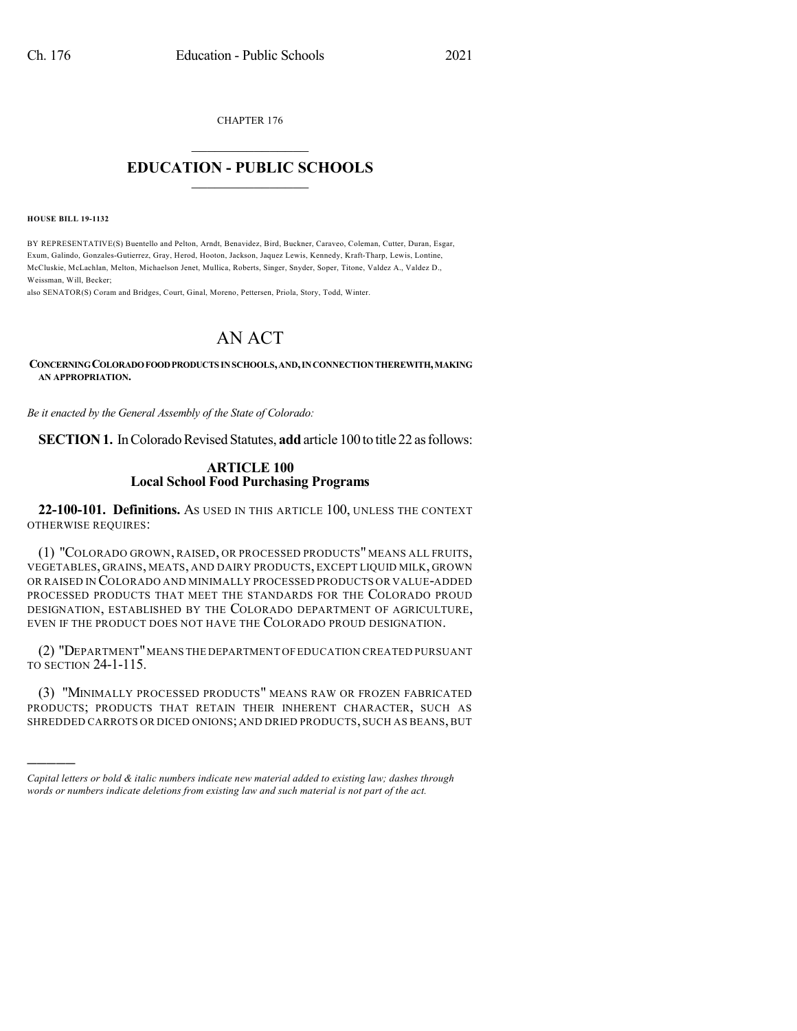CHAPTER 176

## $\mathcal{L}_\text{max}$  . The set of the set of the set of the set of the set of the set of the set of the set of the set of the set of the set of the set of the set of the set of the set of the set of the set of the set of the set **EDUCATION - PUBLIC SCHOOLS**  $\_$   $\_$   $\_$   $\_$   $\_$   $\_$   $\_$   $\_$   $\_$

**HOUSE BILL 19-1132**

)))))

BY REPRESENTATIVE(S) Buentello and Pelton, Arndt, Benavidez, Bird, Buckner, Caraveo, Coleman, Cutter, Duran, Esgar, Exum, Galindo, Gonzales-Gutierrez, Gray, Herod, Hooton, Jackson, Jaquez Lewis, Kennedy, Kraft-Tharp, Lewis, Lontine, McCluskie, McLachlan, Melton, Michaelson Jenet, Mullica, Roberts, Singer, Snyder, Soper, Titone, Valdez A., Valdez D., Weissman, Will, Becker;

also SENATOR(S) Coram and Bridges, Court, Ginal, Moreno, Pettersen, Priola, Story, Todd, Winter.

## AN ACT

**CONCERNINGCOLORADOFOODPRODUCTS INSCHOOLS,AND,INCONNECTIONTHEREWITH,MAKING AN APPROPRIATION.**

*Be it enacted by the General Assembly of the State of Colorado:*

**SECTION 1.** In Colorado Revised Statutes, **add** article 100 to title 22 as follows:

## **ARTICLE 100 Local School Food Purchasing Programs**

**22-100-101. Definitions.** AS USED IN THIS ARTICLE 100, UNLESS THE CONTEXT OTHERWISE REQUIRES:

(1) "COLORADO GROWN, RAISED, OR PROCESSED PRODUCTS" MEANS ALL FRUITS, VEGETABLES, GRAINS, MEATS, AND DAIRY PRODUCTS, EXCEPT LIQUID MILK, GROWN OR RAISED IN COLORADO AND MINIMALLY PROCESSED PRODUCTS OR VALUE-ADDED PROCESSED PRODUCTS THAT MEET THE STANDARDS FOR THE COLORADO PROUD DESIGNATION, ESTABLISHED BY THE COLORADO DEPARTMENT OF AGRICULTURE, EVEN IF THE PRODUCT DOES NOT HAVE THE COLORADO PROUD DESIGNATION.

(2) "DEPARTMENT"MEANS THE DEPARTMENT OFEDUCATION CREATED PURSUANT TO SECTION 24-1-115.

(3) "MINIMALLY PROCESSED PRODUCTS" MEANS RAW OR FROZEN FABRICATED PRODUCTS; PRODUCTS THAT RETAIN THEIR INHERENT CHARACTER, SUCH AS SHREDDED CARROTS OR DICED ONIONS; AND DRIED PRODUCTS, SUCH AS BEANS,BUT

*Capital letters or bold & italic numbers indicate new material added to existing law; dashes through words or numbers indicate deletions from existing law and such material is not part of the act.*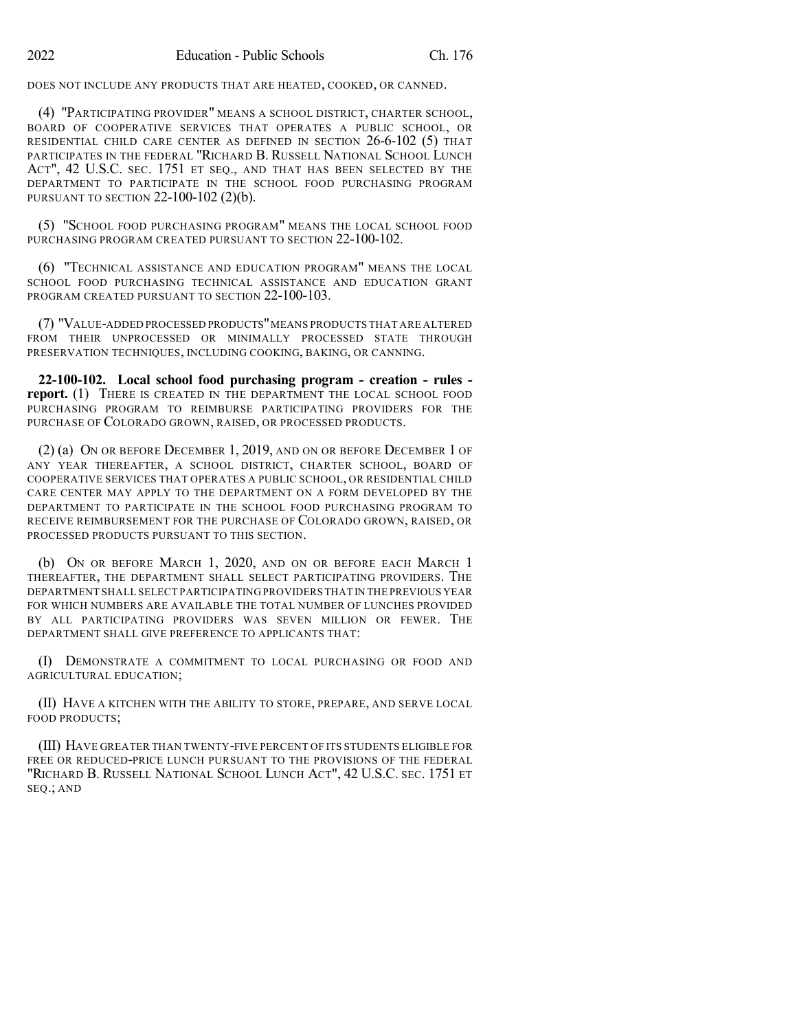DOES NOT INCLUDE ANY PRODUCTS THAT ARE HEATED, COOKED, OR CANNED.

(4) "PARTICIPATING PROVIDER" MEANS A SCHOOL DISTRICT, CHARTER SCHOOL, BOARD OF COOPERATIVE SERVICES THAT OPERATES A PUBLIC SCHOOL, OR RESIDENTIAL CHILD CARE CENTER AS DEFINED IN SECTION 26-6-102 (5) THAT PARTICIPATES IN THE FEDERAL "RICHARD B. RUSSELL NATIONAL SCHOOL LUNCH ACT", 42 U.S.C. SEC. 1751 ET SEQ., AND THAT HAS BEEN SELECTED BY THE DEPARTMENT TO PARTICIPATE IN THE SCHOOL FOOD PURCHASING PROGRAM PURSUANT TO SECTION 22-100-102 (2)(b).

(5) "SCHOOL FOOD PURCHASING PROGRAM" MEANS THE LOCAL SCHOOL FOOD PURCHASING PROGRAM CREATED PURSUANT TO SECTION 22-100-102.

(6) "TECHNICAL ASSISTANCE AND EDUCATION PROGRAM" MEANS THE LOCAL SCHOOL FOOD PURCHASING TECHNICAL ASSISTANCE AND EDUCATION GRANT PROGRAM CREATED PURSUANT TO SECTION 22-100-103.

(7) "VALUE-ADDED PROCESSED PRODUCTS"MEANS PRODUCTS THAT ARE ALTERED FROM THEIR UNPROCESSED OR MINIMALLY PROCESSED STATE THROUGH PRESERVATION TECHNIQUES, INCLUDING COOKING, BAKING, OR CANNING.

**22-100-102. Local school food purchasing program - creation - rules report.** (1) THERE IS CREATED IN THE DEPARTMENT THE LOCAL SCHOOL FOOD PURCHASING PROGRAM TO REIMBURSE PARTICIPATING PROVIDERS FOR THE PURCHASE OF COLORADO GROWN, RAISED, OR PROCESSED PRODUCTS.

(2) (a) ON OR BEFORE DECEMBER 1, 2019, AND ON OR BEFORE DECEMBER 1 OF ANY YEAR THEREAFTER, A SCHOOL DISTRICT, CHARTER SCHOOL, BOARD OF COOPERATIVE SERVICES THAT OPERATES A PUBLIC SCHOOL, OR RESIDENTIAL CHILD CARE CENTER MAY APPLY TO THE DEPARTMENT ON A FORM DEVELOPED BY THE DEPARTMENT TO PARTICIPATE IN THE SCHOOL FOOD PURCHASING PROGRAM TO RECEIVE REIMBURSEMENT FOR THE PURCHASE OF COLORADO GROWN, RAISED, OR PROCESSED PRODUCTS PURSUANT TO THIS SECTION.

(b) ON OR BEFORE MARCH 1, 2020, AND ON OR BEFORE EACH MARCH 1 THEREAFTER, THE DEPARTMENT SHALL SELECT PARTICIPATING PROVIDERS. THE DEPARTMENT SHALL SELECT PARTICIPATING PROVIDERS THAT IN THE PREVIOUS YEAR FOR WHICH NUMBERS ARE AVAILABLE THE TOTAL NUMBER OF LUNCHES PROVIDED BY ALL PARTICIPATING PROVIDERS WAS SEVEN MILLION OR FEWER. THE DEPARTMENT SHALL GIVE PREFERENCE TO APPLICANTS THAT:

(I) DEMONSTRATE A COMMITMENT TO LOCAL PURCHASING OR FOOD AND AGRICULTURAL EDUCATION;

(II) HAVE A KITCHEN WITH THE ABILITY TO STORE, PREPARE, AND SERVE LOCAL FOOD PRODUCTS;

(III) HAVE GREATER THAN TWENTY-FIVE PERCENT OF ITS STUDENTS ELIGIBLE FOR FREE OR REDUCED-PRICE LUNCH PURSUANT TO THE PROVISIONS OF THE FEDERAL "RICHARD B. RUSSELL NATIONAL SCHOOL LUNCH ACT", 42 U.S.C. SEC. 1751 ET SEQ.; AND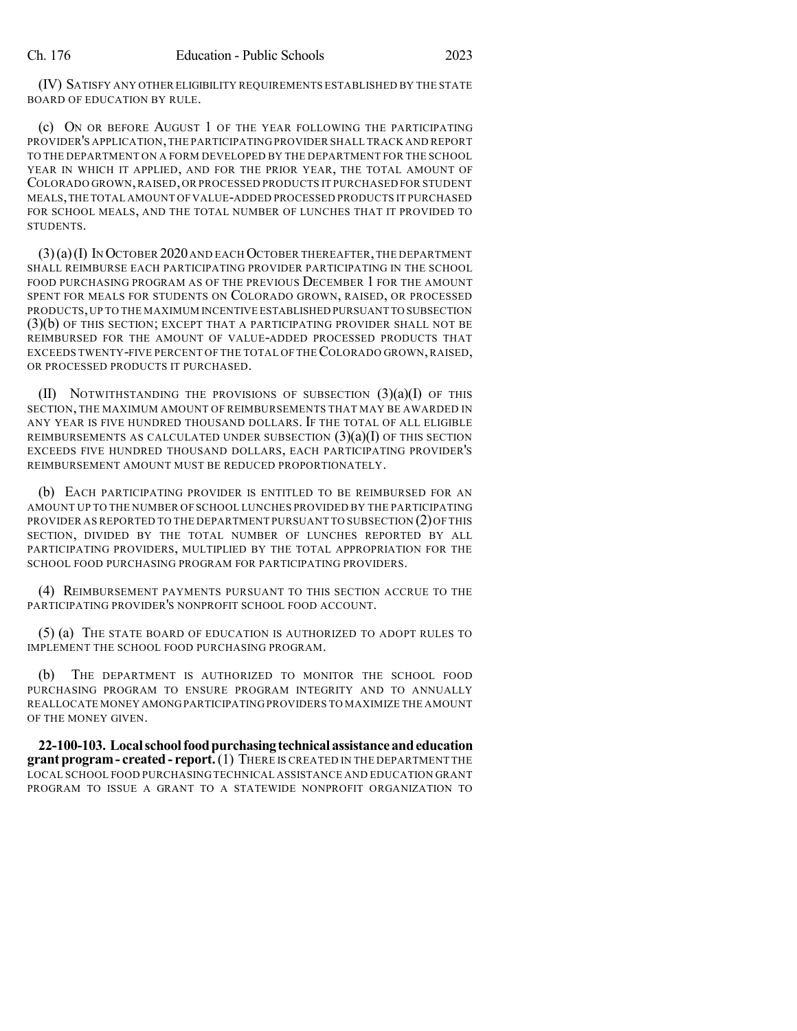(IV) SATISFY ANY OTHER ELIGIBILITY REQUIREMENTS ESTABLISHED BY THE STATE BOARD OF EDUCATION BY RULE.

(c) ON OR BEFORE AUGUST 1 OF THE YEAR FOLLOWING THE PARTICIPATING PROVIDER'S APPLICATION,THE PARTICIPATING PROVIDER SHALL TRACK AND REPORT TO THE DEPARTMENT ON A FORM DEVELOPED BY THE DEPARTMENT FOR THE SCHOOL YEAR IN WHICH IT APPLIED, AND FOR THE PRIOR YEAR, THE TOTAL AMOUNT OF COLORADO GROWN,RAISED,OR PROCESSED PRODUCTS IT PURCHASED FOR STUDENT MEALS,THE TOTAL AMOUNT OF VALUE-ADDED PROCESSED PRODUCTS IT PURCHASED FOR SCHOOL MEALS, AND THE TOTAL NUMBER OF LUNCHES THAT IT PROVIDED TO STUDENTS.

 $(3)(a)(I)$  In October 2020 and each October thereafter, the department SHALL REIMBURSE EACH PARTICIPATING PROVIDER PARTICIPATING IN THE SCHOOL FOOD PURCHASING PROGRAM AS OF THE PREVIOUS DECEMBER 1 FOR THE AMOUNT SPENT FOR MEALS FOR STUDENTS ON COLORADO GROWN, RAISED, OR PROCESSED PRODUCTS,UP TO THE MAXIMUM INCENTIVE ESTABLISHED PURSUANT TO SUBSECTION (3)(b) OF THIS SECTION; EXCEPT THAT A PARTICIPATING PROVIDER SHALL NOT BE REIMBURSED FOR THE AMOUNT OF VALUE-ADDED PROCESSED PRODUCTS THAT EXCEEDS TWENTY-FIVE PERCENT OF THE TOTAL OF THE COLORADO GROWN, RAISED, OR PROCESSED PRODUCTS IT PURCHASED.

(II) NOTWITHSTANDING THE PROVISIONS OF SUBSECTION  $(3)(a)(I)$  Of this SECTION, THE MAXIMUM AMOUNT OF REIMBURSEMENTS THAT MAY BE AWARDED IN ANY YEAR IS FIVE HUNDRED THOUSAND DOLLARS. IF THE TOTAL OF ALL ELIGIBLE REIMBURSEMENTS AS CALCULATED UNDER SUBSECTION  $(3)(a)(I)$  of this section EXCEEDS FIVE HUNDRED THOUSAND DOLLARS, EACH PARTICIPATING PROVIDER'S REIMBURSEMENT AMOUNT MUST BE REDUCED PROPORTIONATELY.

(b) EACH PARTICIPATING PROVIDER IS ENTITLED TO BE REIMBURSED FOR AN AMOUNT UP TO THE NUMBER OF SCHOOL LUNCHES PROVIDED BY THE PARTICIPATING PROVIDER AS REPORTED TO THE DEPARTMENT PURSUANT TO SUBSECTION (2)OF THIS SECTION, DIVIDED BY THE TOTAL NUMBER OF LUNCHES REPORTED BY ALL PARTICIPATING PROVIDERS, MULTIPLIED BY THE TOTAL APPROPRIATION FOR THE SCHOOL FOOD PURCHASING PROGRAM FOR PARTICIPATING PROVIDERS.

(4) REIMBURSEMENT PAYMENTS PURSUANT TO THIS SECTION ACCRUE TO THE PARTICIPATING PROVIDER'S NONPROFIT SCHOOL FOOD ACCOUNT.

(5) (a) THE STATE BOARD OF EDUCATION IS AUTHORIZED TO ADOPT RULES TO IMPLEMENT THE SCHOOL FOOD PURCHASING PROGRAM.

(b) THE DEPARTMENT IS AUTHORIZED TO MONITOR THE SCHOOL FOOD PURCHASING PROGRAM TO ENSURE PROGRAM INTEGRITY AND TO ANNUALLY REALLOCATE MONEY AMONGPARTICIPATING PROVIDERS TO MAXIMIZE THE AMOUNT OF THE MONEY GIVEN.

**22-100-103. Localschoolfoodpurchasingtechnical assistanceandeducation grantprogram- created - report.**(1) THERE IS CREATED IN THE DEPARTMENT THE LOCAL SCHOOL FOOD PURCHASING TECHNICAL ASSISTANCE AND EDUCATION GRANT PROGRAM TO ISSUE A GRANT TO A STATEWIDE NONPROFIT ORGANIZATION TO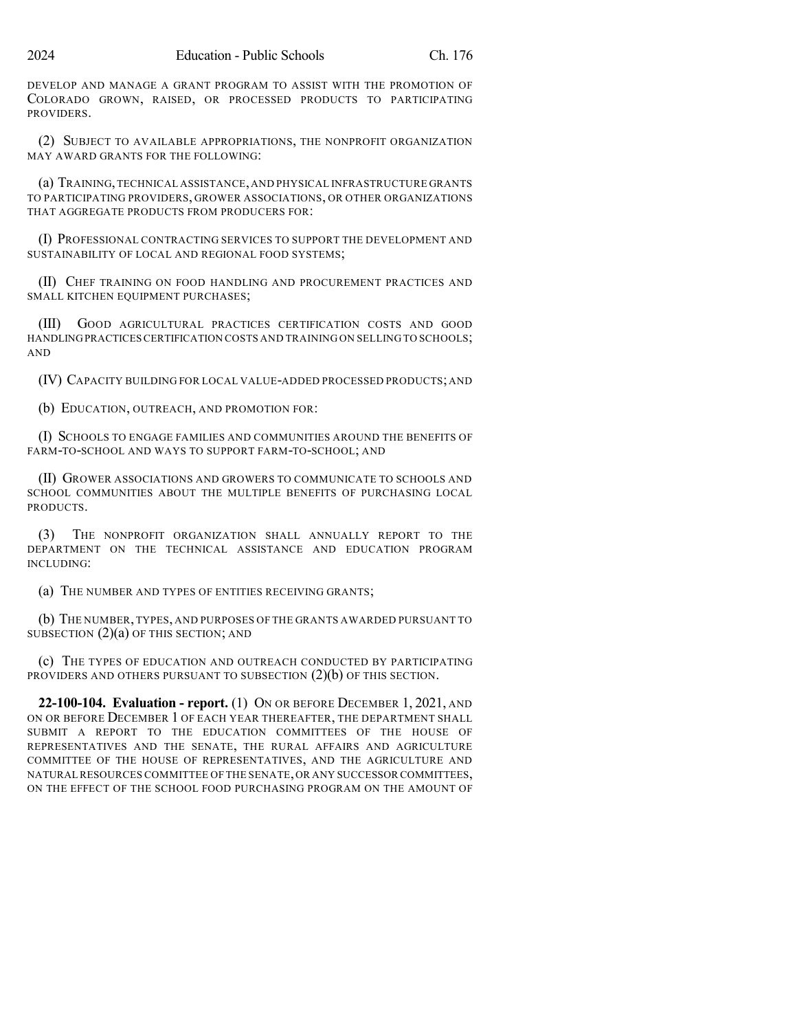DEVELOP AND MANAGE A GRANT PROGRAM TO ASSIST WITH THE PROMOTION OF COLORADO GROWN, RAISED, OR PROCESSED PRODUCTS TO PARTICIPATING PROVIDERS.

(2) SUBJECT TO AVAILABLE APPROPRIATIONS, THE NONPROFIT ORGANIZATION MAY AWARD GRANTS FOR THE FOLLOWING:

(a) TRAINING,TECHNICAL ASSISTANCE,AND PHYSICAL INFRASTRUCTURE GRANTS TO PARTICIPATING PROVIDERS, GROWER ASSOCIATIONS, OR OTHER ORGANIZATIONS THAT AGGREGATE PRODUCTS FROM PRODUCERS FOR:

(I) PROFESSIONAL CONTRACTING SERVICES TO SUPPORT THE DEVELOPMENT AND SUSTAINABILITY OF LOCAL AND REGIONAL FOOD SYSTEMS;

(II) CHEF TRAINING ON FOOD HANDLING AND PROCUREMENT PRACTICES AND SMALL KITCHEN EQUIPMENT PURCHASES;

(III) GOOD AGRICULTURAL PRACTICES CERTIFICATION COSTS AND GOOD HANDLINGPRACTICESCERTIFICATION COSTS AND TRAINING ON SELLING TO SCHOOLS; AND

(IV) CAPACITY BUILDING FOR LOCAL VALUE-ADDED PROCESSED PRODUCTS; AND

(b) EDUCATION, OUTREACH, AND PROMOTION FOR:

(I) SCHOOLS TO ENGAGE FAMILIES AND COMMUNITIES AROUND THE BENEFITS OF FARM-TO-SCHOOL AND WAYS TO SUPPORT FARM-TO-SCHOOL; AND

(II) GROWER ASSOCIATIONS AND GROWERS TO COMMUNICATE TO SCHOOLS AND SCHOOL COMMUNITIES ABOUT THE MULTIPLE BENEFITS OF PURCHASING LOCAL **PRODUCTS** 

(3) THE NONPROFIT ORGANIZATION SHALL ANNUALLY REPORT TO THE DEPARTMENT ON THE TECHNICAL ASSISTANCE AND EDUCATION PROGRAM INCLUDING:

(a) THE NUMBER AND TYPES OF ENTITIES RECEIVING GRANTS;

(b) THE NUMBER, TYPES, AND PURPOSES OF THE GRANTS AWARDED PURSUANT TO SUBSECTION  $(2)(a)$  OF THIS SECTION; AND

(c) THE TYPES OF EDUCATION AND OUTREACH CONDUCTED BY PARTICIPATING PROVIDERS AND OTHERS PURSUANT TO SUBSECTION (2)(b) OF THIS SECTION.

**22-100-104. Evaluation - report.** (1) ON OR BEFORE DECEMBER 1, 2021, AND ON OR BEFORE DECEMBER 1 OF EACH YEAR THEREAFTER, THE DEPARTMENT SHALL SUBMIT A REPORT TO THE EDUCATION COMMITTEES OF THE HOUSE OF REPRESENTATIVES AND THE SENATE, THE RURAL AFFAIRS AND AGRICULTURE COMMITTEE OF THE HOUSE OF REPRESENTATIVES, AND THE AGRICULTURE AND NATURAL RESOURCES COMMITTEE OF THE SENATE,OR ANY SUCCESSOR COMMITTEES, ON THE EFFECT OF THE SCHOOL FOOD PURCHASING PROGRAM ON THE AMOUNT OF